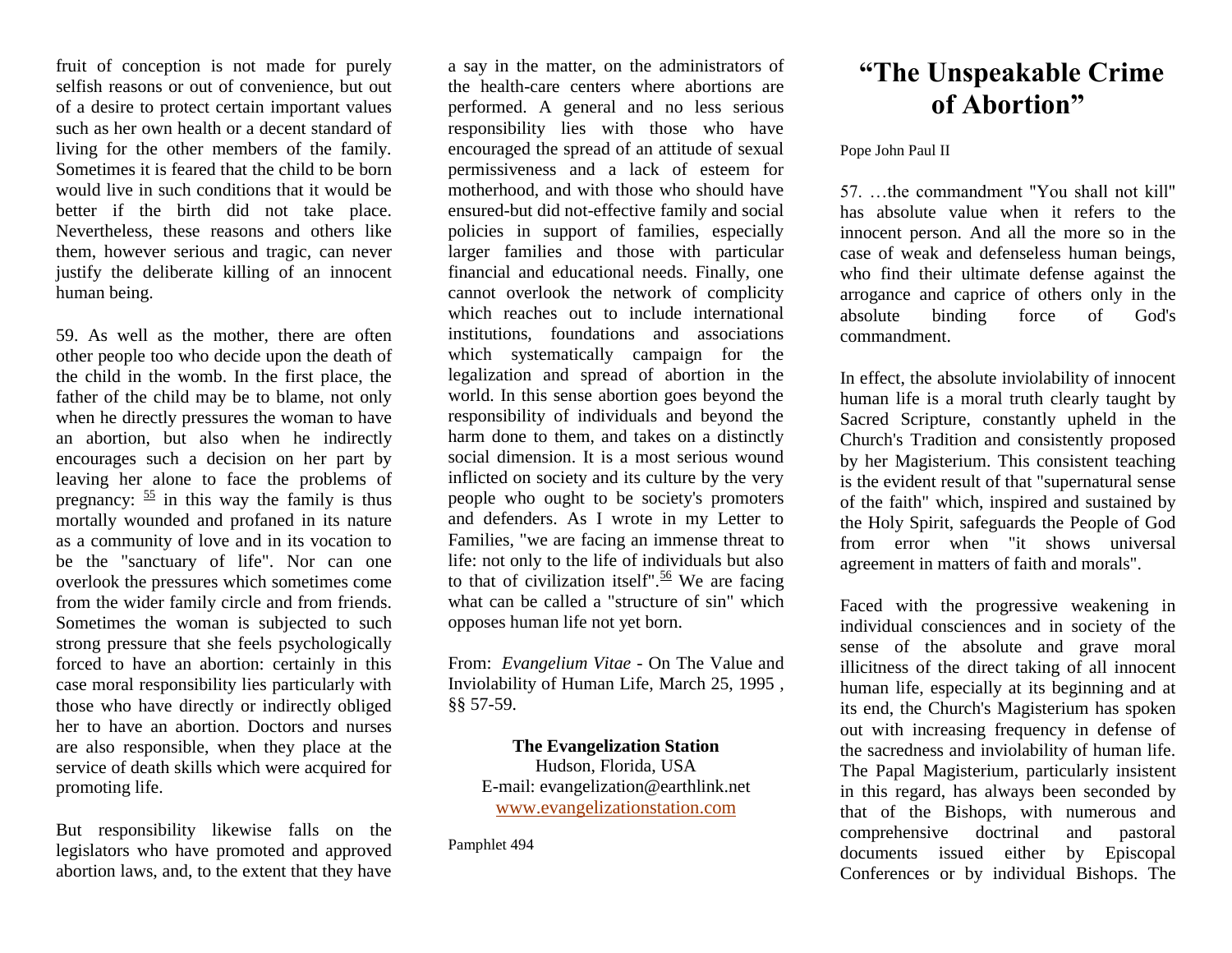fruit of conception is not made for purely selfish reasons or out of convenience, but out of a desire to protect certain important values such as her own health or a decent standard of living for the other members of the family. Sometimes it is feared that the child to be born would live in such conditions that it would be better if the birth did not take place. Nevertheless, these reasons and others like them, however serious and tragic, can never justify the deliberate killing of an innocent human being.

59. As well as the mother, there are often other people too who decide upon the death of the child in the womb. In the first place, the father of the child may be to blame, not only when he directly pressures the woman to have an abortion, but also when he indirectly encourages such a decision on her part by leaving her alone to face the problems of pregnancy:  $\frac{55}{2}$  $\frac{55}{2}$  $\frac{55}{2}$  in this way the family is thus mortally wounded and profaned in its nature as a community of love and in its vocation to be the "sanctuary of life". Nor can one overlook the pressures which sometimes come from the wider family circle and from friends. Sometimes the woman is subjected to such strong pressure that she feels psychologically forced to have an abortion: certainly in this case moral responsibility lies particularly with those who have directly or indirectly obliged her to have an abortion. Doctors and nurses are also responsible, when they place at the service of death skills which were acquired for promoting life.

But responsibility likewise falls on the legislators who have promoted and approved abortion laws, and, to the extent that they have

a say in the matter, on the administrators of the health-care centers where abortions are performed. A general and no less serious responsibility lies with those who have encouraged the spread of an attitude of sexual permissiveness and a lack of esteem for motherhood, and with those who should have ensured-but did not-effective family and social policies in support of families, especially larger families and those with particular financial and educational needs. Finally, one cannot overlook the network of complicity which reaches out to include international institutions, foundations and associations which systematically campaign for the legalization and spread of abortion in the world. In this sense abortion goes beyond the responsibility of individuals and beyond the harm done to them, and takes on a distinctly social dimension. It is a most serious wound inflicted on society and its culture by the very people who ought to be society's promoters and defenders. As I wrote in my Letter to Families, "we are facing an immense threat to life: not only to the life of individuals but also to that of civilization itself".<sup>[56](http://www.victorclaveau.com/htm_html/Church%20Documents/Church%20Documents/Evangelium%20Vitae.htm#$1K)</sup> We are facing what can be called a "structure of sin" which opposes human life not yet born.

From: *[Evangelium Vitae](http://www.victorclaveau.com/htm_html/Church%20Documents/Church%20Documents/Evangelium%20Vitae.htm)* - [On The Value and](http://www.victorclaveau.com/htm_html/Church%20Documents/Church%20Documents/Evangelium%20Vitae.htm)  Inviolability of Human Life, March 25, 1995 *,*  §§ 57-59.

**The Evangelization Station** Hudson, Florida, USA E-mail: evangelization@earthlink.net [www.evangelizationstation.com](http://www.pjpiisoe.org/)

Pamphlet 494

## **"The Unspeakable Crime of Abortion"**

Pope John Paul II

57. …the commandment "You shall not kill" has absolute value when it refers to the innocent person. And all the more so in the case of weak and defenseless human beings, who find their ultimate defense against the arrogance and caprice of others only in the absolute binding force of God's commandment.

In effect, the absolute inviolability of innocent human life is a moral truth clearly taught by Sacred Scripture, constantly upheld in the Church's Tradition and consistently proposed by her Magisterium. This consistent teaching is the evident result of that "supernatural sense of the faith" which, inspired and sustained by the Holy Spirit, safeguards the People of God from error when "it shows universal agreement in matters of faith and morals".

Faced with the progressive weakening in individual consciences and in society of the sense of the absolute and grave moral illicitness of the direct taking of all innocent human life, especially at its beginning and at its end, the Church's Magisterium has spoken out with increasing frequency in defense of the sacredness and inviolability of human life. The Papal Magisterium, particularly insistent in this regard, has always been seconded by that of the Bishops, with numerous and comprehensive doctrinal and pastoral documents issued either by Episcopal Conferences or by individual Bishops. The